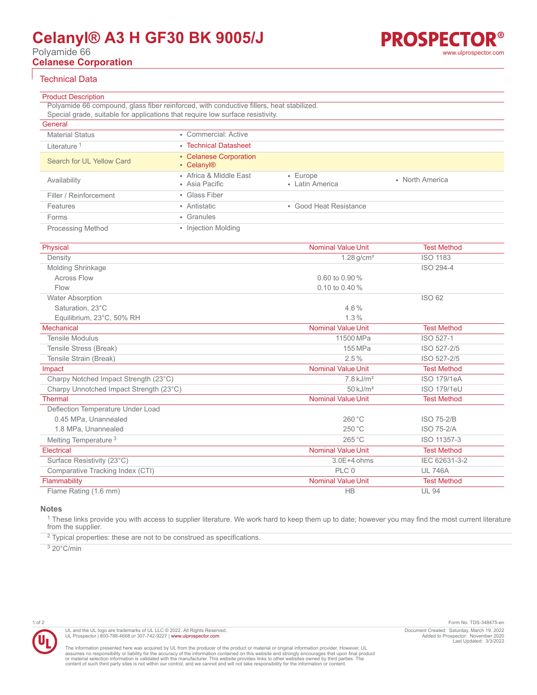# **Celanyl® A3 H GF30 BK 9005/J**

Polyamide 66

**Celanese Corporation**

## Technical Data

| <b>Product Description</b> |                                                                                          |                                   |                 |
|----------------------------|------------------------------------------------------------------------------------------|-----------------------------------|-----------------|
|                            | Polyamide 66 compound, glass fiber reinforced, with conductive fillers, heat stabilized. |                                   |                 |
|                            | Special grade, suitable for applications that require low surface resistivity.           |                                   |                 |
| General                    |                                                                                          |                                   |                 |
| <b>Material Status</b>     | • Commercial: Active                                                                     |                                   |                 |
| Literature <sup>1</sup>    | • Technical Datasheet                                                                    |                                   |                 |
| Search for UL Yellow Card  | • Celanese Corporation<br>• Celanyl <sup>®</sup>                                         |                                   |                 |
| Availability               | • Africa & Middle East<br>• Asia Pacific                                                 | $\cdot$ Europe<br>• Latin America | • North America |
| Filler / Reinforcement     | • Glass Fiber                                                                            |                                   |                 |
| Features                   | • Antistatic                                                                             | • Good Heat Resistance            |                 |
| Forms                      | • Granules                                                                               |                                   |                 |
| <b>Processing Method</b>   | • Injection Molding                                                                      |                                   |                 |

| Physical                                | <b>Nominal Value Unit</b> | <b>Test Method</b> |
|-----------------------------------------|---------------------------|--------------------|
| Density                                 | $1.28$ g/cm <sup>3</sup>  | <b>ISO 1183</b>    |
| Molding Shrinkage                       |                           | ISO 294-4          |
| <b>Across Flow</b>                      | $0.60$ to $0.90\%$        |                    |
| Flow                                    | 0.10 to 0.40 %            |                    |
| <b>Water Absorption</b>                 |                           | ISO 62             |
| Saturation, 23°C                        | $4.6\%$                   |                    |
| Equilibrium, 23°C, 50% RH               | 1.3%                      |                    |
| <b>Mechanical</b>                       | <b>Nominal Value Unit</b> | <b>Test Method</b> |
| <b>Tensile Modulus</b>                  | 11500 MPa                 | ISO 527-1          |
| Tensile Stress (Break)                  | 155 MPa                   | ISO 527-2/5        |
| Tensile Strain (Break)                  | 2.5%                      | ISO 527-2/5        |
| Impact                                  | <b>Nominal Value Unit</b> | <b>Test Method</b> |
| Charpy Notched Impact Strength (23°C)   | $7.8$ kJ/m <sup>2</sup>   | ISO 179/1eA        |
| Charpy Unnotched Impact Strength (23°C) | $50$ kJ/m <sup>2</sup>    | <b>ISO 179/1eU</b> |
| <b>Thermal</b>                          | <b>Nominal Value Unit</b> | <b>Test Method</b> |
| Deflection Temperature Under Load       |                           |                    |
| 0.45 MPa, Unannealed                    | 260 °C                    | <b>ISO 75-2/B</b>  |
| 1.8 MPa, Unannealed                     | 250 °C                    | <b>ISO 75-2/A</b>  |
| Melting Temperature <sup>3</sup>        | 265 °C                    | ISO 11357-3        |
| Electrical                              | <b>Nominal Value Unit</b> | <b>Test Method</b> |
| Surface Resistivity (23°C)              | $3.0E + 4 ohms$           | IEC 62631-3-2      |
| Comparative Tracking Index (CTI)        | PLC 0                     | <b>UL 746A</b>     |
| Flammability                            | <b>Nominal Value Unit</b> | <b>Test Method</b> |
| Flame Rating (1.6 mm)                   | <b>HB</b>                 | <b>UL 94</b>       |
|                                         |                           |                    |

#### **Notes**

<sup>1</sup> These links provide you with access to supplier literature. We work hard to keep them up to date; however you may find the most current literature from the supplier.

 $2$  Typical properties: these are not to be construed as specifications.

3 20°C/min



The information presented here was acquired by UL from the producer of the product or material or original information provider. However, UL<br>assumes no responsibility or liability for the accuracy of the information contai